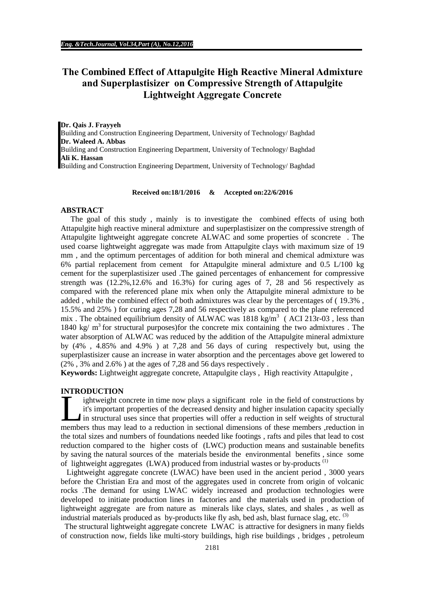# **The Combined Effect of Attapulgite High Reactive Mineral Admixture and Superplastisizer on Compressive Strength of Attapulgite Lightweight Aggregate Concrete**

**Dr. Qais J. Frayyeh**  Building and Construction Engineering Department, University of Technology/ Baghdad **Dr. Waleed A. Abbas** Building and Construction Engineering Department, University of Technology/ Baghdad **Ali K. Hassan**  Building and Construction Engineering Department, University of Technology/ Baghdad

#### **Received on:18/1/2016 & Accepted on:22/6/2016**

#### **ABSTRACT**

 The goal of this study , mainly is to investigate the combined effects of using both Attapulgite high reactive mineral admixture and superplastisizer on the compressive strength of Attapulgite lightweight aggregate concrete ALWAC and some properties of sconcrete . The used coarse lightweight aggregate was made from Attapulgite clays with maximum size of 19 mm , and the optimum percentages of addition for both mineral and chemical admixture was 6% partial replacement from cement for Attapulgite mineral admixture and 0.5 L/100 kg cement for the superplastisizer used .The gained percentages of enhancement for compressive strength was (12.2%,12.6% and 16.3%) for curing ages of 7, 28 and 56 respectively as compared with the referenced plane mix when only the Attapulgite mineral admixture to be added , while the combined effect of both admixtures was clear by the percentages of ( 19.3% , 15.5% and 25% ) for curing ages 7,28 and 56 respectively as compared to the plane referenced mix . The obtained equilibrium density of ALWAC was 1818 kg/m<sup>3</sup> (ACI 213r-03, less than 1840 kg/  $m<sup>3</sup>$  for structural purposes)for the concrete mix containing the two admixtures . The water absorption of ALWAC was reduced by the addition of the Attapulgite mineral admixture by (4% , 4.85% and 4.9% ) at 7,28 and 56 days of curing respectively but, using the superplastisizer cause an increase in water absorption and the percentages above get lowered to (2% , 3% and 2.6% ) at the ages of 7,28 and 56 days respectively .

**Keywords:** Lightweight aggregate concrete, Attapulgite clays, High reactivity Attapulgite,

#### **INTRODUCTION**

ightweight concrete in time now plays a significant role in the field of constructions by it's important properties of the decreased density and higher insulation capacity specially  $\sum$  in structural uses since that properties will offer a reduction in self weights of structural members thus may lead to a reduction in sectional dimensions of these members thus may lead to a reduction in sectional dimensions of these members , reduction in self weights of structural members thus may lead to a reduc the total sizes and numbers of foundations needed like footings , rafts and piles that lead to cost reduction compared to the higher costs of (LWC) production means and sustainable benefits by saving the natural sources of the materials beside the environmental benefits , since some of lightweight aggregates (LWA) produced from industrial wastes or by-products<sup>(1)</sup>

 Lightweight aggregate concrete (LWAC) have been used in the ancient period , 3000 years before the Christian Era and most of the aggregates used in concrete from origin of volcanic rocks .The demand for using LWAC widely increased and production technologies were developed to initiate production lines in factories and the materials used in production of lightweight aggregate are from nature as minerals like clays, slates, and shales , as well as industrial materials produced as by-products like fly ash, bed ash, blast furnace slag, etc. (3)

The structural lightweight aggregate concrete LWAC is attractive for designers in many fields of construction now, fields like multi-story buildings, high rise buildings , bridges , petroleum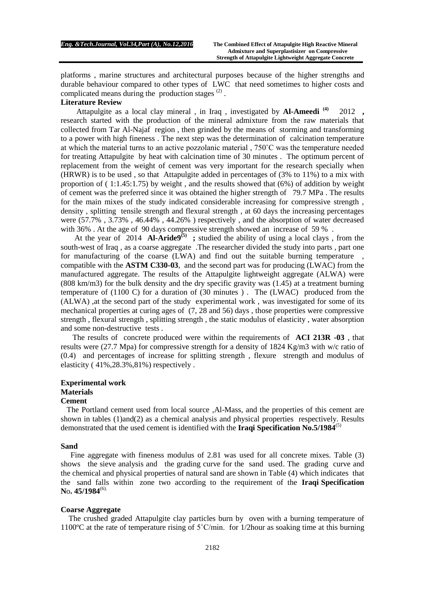platforms , marine structures and architectural purposes because of the higher strengths and durable behaviour compared to other types of LWC that need sometimes to higher costs and complicated means during the production stages  $(2)$ .

#### **Literature Review**

 Attapulgite as a local clay mineral , in Iraq , investigated by **Al-Ameedi (4)** 2012 **,**  research started with the production of the mineral admixture from the raw materials that collected from Tar Al-Najaf region , then grinded by the means of storming and transforming to a power with high fineness . The next step was the determination of calcination temperature at which the material turns to an active pozzolanic material , 750˚C was the temperature needed for treating Attapulgite by heat with calcination time of 30 minutes . The optimum percent of replacement from the weight of cement was very important for the research specially when (HRWR) is to be used , so that Attapulgite added in percentages of (3% to 11%) to a mix with proportion of ( 1:1.45:1.75) by weight , and the results showed that (6%) of addition by weight of cement was the preferred since it was obtained the higher strength of 79.7 MPa . The results for the main mixes of the study indicated considerable increasing for compressive strength , density , splitting tensile strength and flexural strength , at 60 days the increasing percentages were (57.7% , 3.73% , 46.44% , 44.26% ) respectively , and the absorption of water decreased with 36%. At the age of 90 days compressive strength showed an increase of 59%.

At the year of 2014  $\mathbf{Al}\text{-}\mathbf{A}\mathbf{r}$  ideal  $\mathbf{S}$  is studied the ability of using a local clays, from the south-west of Iraq , as a coarse aggregate .The researcher divided the study into parts , part one for manufacturing of the coarse (LWA) and find out the suitable burning temperature compatible with the **ASTM C330-03**, and the second part was for producing (LWAC) from the manufactured aggregate. The results of the Attapulgite lightweight aggregate (ALWA) were (808 km/m3) for the bulk density and the dry specific gravity was (1.45) at a treatment burning temperature of (1100 C) for a duration of (30 minutes ) . The (LWAC) produced from the (ALWA) ,at the second part of the study experimental work , was investigated for some of its mechanical properties at curing ages of (7, 28 and 56) days , those properties were compressive strength , flexural strength , splitting strength , the static modulus of elasticity , water absorption and some non-destructive tests .

 The results of concrete produced were within the requirements of **ACI 213R -03** , that results were (27.7 Mpa) for compressive strength for a density of 1824 Kg/m3 with w/c ratio of (0.4) and percentages of increase for splitting strength , flexure strength and modulus of elasticity ( 41%,28.3%,81%) respectively .

### **Experimental work**

### **Materials**

#### **Cement**

 The Portland cement used from local source ,Al-Mass, and the properties of this cement are shown in tables (1)and(2) as a chemical analysis and physical properties respectively. Results demonstrated that the used cement is identified with the **Iraqi Specification No.5/1984**(5)

#### **Sand**

 Fine aggregate with fineness modulus of 2.81 was used for all concrete mixes. Table (3) shows the sieve analysis and the grading curve for the sand used. The grading curve and the chemical and physical properties of natural sand are shown in Table (4) which indicates that the sand falls within zone two according to the requirement of the **Iraqi Specification**  No. 45/1984<sup>(6).</sup>

#### **Coarse Aggregate**

 The crushed graded Attapulgite clay particles burn by oven with a burning temperature of 1100ºC at the rate of temperature rising of 5˚C/min. for 1/2hour as soaking time at this burning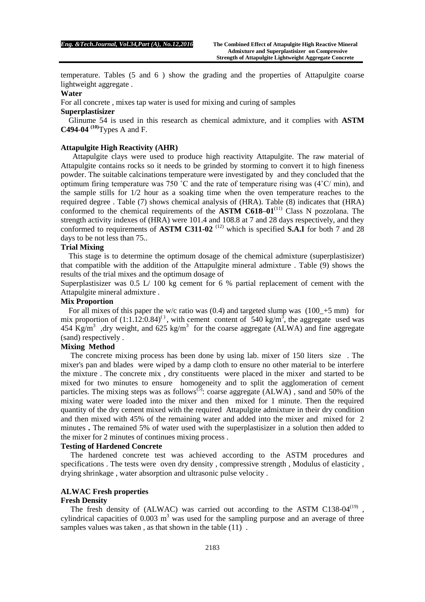temperature. Tables (5 and 6 ) show the grading and the properties of Attapulgite coarse lightweight aggregate .

### **Water**

For all concrete , mixes tap water is used for mixing and curing of samples

#### **Superplastisizer**

 Glinume 54 is used in this research as chemical admixture, and it complies with **ASTM C494**-**04 (10)**Types A and F.

#### **Attapulgite High Reactivity (AHR)**

 Attapulgite clays were used to produce high reactivity Attapulgite. The raw material of Attapulgite contains rocks so it needs to be grinded by storming to convert it to high fineness powder. The suitable calcinations temperature were investigated by and they concluded that the optimum firing temperature was 750 ˚C and the rate of temperature rising was (4˚C/ min), and the sample stills for 1/2 hour as a soaking time when the oven temperature reaches to the required degree . Table (7) shows chemical analysis of (HRA). Table (8) indicates that (HRA) conformed to the chemical requirements of the **ASTM C618–01**(11) Class N pozzolana. The strength activity indexes of (HRA) were 101.4 and 108.8 at 7 and 28 days respectively, and they conformed to requirements of **ASTM C311-02**<sup>(12)</sup> which is specified **S.A.I** for both 7 and 28 days to be not less than 75..

# **Trial Mixing**

This stage is to determine the optimum dosage of the chemical admixture (superplastisizer) that compatible with the addition of the Attapulgite mineral admixture . Table (9) shows the results of the trial mixes and the optimum dosage of

Superplastisizer was  $0.5 \text{ L} / 100 \text{ kg}$  cement for 6 % partial replacement of cement with the Attapulgite mineral admixture .

### **Mix Proportion**

For all mixes of this paper the w/c ratio was  $(0.4)$  and targeted slump was  $(100 + 5 \text{ mm})$  for mix proportion of  $(1:1.12:0.84)^{()}$ , with cement content of 540 kg/m<sup>3</sup>, the aggregate used was 454  $\text{Kg/m}^3$ , dry weight, and 625 kg/m<sup>3</sup> for the coarse aggregate (ALWA) and fine aggregate (sand) respectively .

### **Mixing Method**

 The concrete mixing process has been done by using lab. mixer of 150 liters size . The mixer's pan and blades were wiped by a damp cloth to ensure no other material to be interfere the mixture . The concrete mix , dry constituents were placed in the mixer and started to be mixed for two minutes to ensure homogeneity and to split the agglomeration of cement particles. The mixing steps was as follows<sup> $(5)$ </sup>: coarse aggregate (ALWA), sand and 50% of the mixing water were loaded into the mixer and then mixed for 1 minute. Then the required quantity of the dry cement mixed with the required Attapulgite admixture in their dry condition and then mixed with 45% of the remaining water and added into the mixer and mixed for 2 minutes **.** The remained 5% of water used with the superplastisizer in a solution then added to the mixer for 2 minutes of continues mixing process .

#### **Testing of Hardened Concrete**

 The hardened concrete test was achieved according to the ASTM procedures and specifications . The tests were oven dry density , compressive strength , Modulus of elasticity , drying shrinkage , water absorption and ultrasonic pulse velocity .

#### **ALWAC Fresh properties**

#### **Fresh Density**

The fresh density of (ALWAC) was carried out according to the ASTM C138-04<sup>(19)</sup>, cylindrical capacities of  $0.003 \text{ m}^3$  was used for the sampling purpose and an average of three samples values was taken, as that shown in the table (11).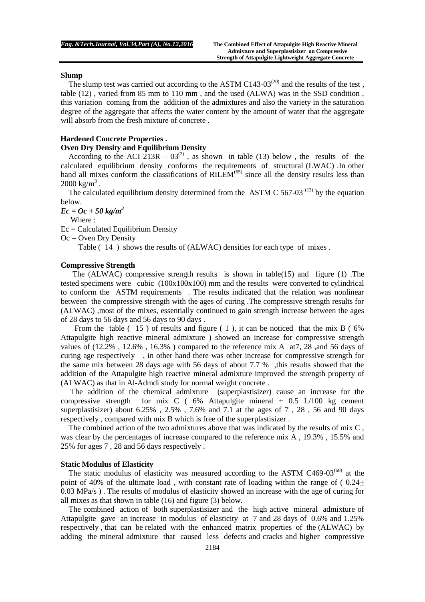### **Slump**

The slump test was carried out according to the ASTM C143-03<sup>(20)</sup> and the results of the test, table (12) , varied from 85 mm to 110 mm , and the used (ALWA) was in the SSD condition , this variation coming from the addition of the admixtures and also the variety in the saturation degree of the aggregate that affects the water content by the amount of water that the aggregate will absorb from the fresh mixture of concrete.

### **Hardened Concrete Properties .**

#### **Oven Dry Density and Equilibrium Density**

According to the ACI  $213R - 03^{(2)}$ , as shown in table (13) below, the results of the calculated equilibrium density conforms the requirements of structural (LWAC) .In other hand all mixes conform the classifications of  $RILEM<sup>(65)</sup>$  since all the density results less than  $2000 \text{ kg/m}^3$ .

The calculated equilibrium density determined from the ASTM C 567-03<sup> $(13)$ </sup> by the equation below.

 $Ec = Oc + 50 kg/m<sup>3</sup>$ 

Where :

 $Ec = Calculated$  Equilibrium Density

 $Oc =$  Oven Dry Density

Table ( 14 ) shows the results of (ALWAC) densities for each type of mixes .

#### **Compressive Strength**

 The (ALWAC) compressive strength results is shown in table(15) and figure (1) .The tested specimens were cubic  $(100x100x100)$  mm and the results were converted to cylindrical to conform the ASTM requirements . The results indicated that the relation was nonlinear between the compressive strength with the ages of curing .The compressive strength results for (ALWAC) ,most of the mixes, essentially continued to gain strength increase between the ages of 28 days to 56 days and 56 days to 90 days .

From the table  $(15)$  of results and figure  $(1)$ , it can be noticed that the mix B  $(6\%$ Attapulgite high reactive mineral admixture ) showed an increase for compressive strength values of  $(12.2\%$ ,  $12.6\%$ ,  $16.3\%$ ) compared to the reference mix A at 7, 28, and 56 days of curing age respectively , in other hand there was other increase for compressive strength for the same mix between 28 days age with 56 days of about 7.7 % , this results showed that the addition of the Attapulgite high reactive mineral admixture improved the strength property of (ALWAC) as that in Al-Admdi study for normal weight concrete .

 The addition of the chemical admixture (superplastisizer) cause an increase for the compressive strength for mix C ( $6\%$  Attapulgite mineral + 0.5 L/100 kg cement superplastisizer) about 6.25% , 2.5% , 7.6% and 7.1 at the ages of 7 , 28 , 56 and 90 days respectively , compared with mix B which is free of the superplastisizer .

 The combined action of the two admixtures above that was indicated by the results of mix C , was clear by the percentages of increase compared to the reference mix A, 19.3%, 15.5% and 25% for ages 7 , 28 and 56 days respectively .

# **Static Modulus of Elasticity**

The static modulus of elasticity was measured according to the ASTM C469-03 $(60)$  at the point of 40% of the ultimate load , with constant rate of loading within the range of ( 0.24+ 0.03 MPa/s ) . The results of modulus of elasticity showed an increase with the age of curing for all mixes as that shown in table (16) and figure (3) below.

The combined action of both superplastisizer and the high active mineral admixture of Attapulgite gave an increase in modulus of elasticity at 7 and 28 days of 0.6% and 1.25% respectively , that can be related with the enhanced matrix properties of the (ALWAC) by adding the mineral admixture that caused less defects and cracks and higher compressive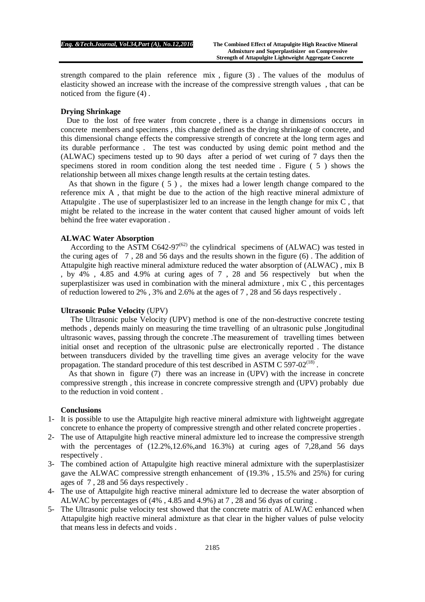strength compared to the plain reference mix , figure (3) . The values of the modulus of elasticity showed an increase with the increase of the compressive strength values , that can be noticed from the figure (4) .

#### **Drying Shrinkage**

 Due to the lost of free water from concrete , there is a change in dimensions occurs in concrete members and specimens , this change defined as the drying shrinkage of concrete, and this dimensional change effects the compressive strength of concrete at the long term ages and its durable performance . The test was conducted by using demic point method and the (ALWAC) specimens tested up to 90 days after a period of wet curing of 7 days then the specimens stored in room condition along the test needed time . Figure ( 5 ) shows the relationship between all mixes change length results at the certain testing dates.

 As that shown in the figure ( 5 ) , the mixes had a lower length change compared to the reference mix A , that might be due to the action of the high reactive mineral admixture of Attapulgite . The use of superplastisizer led to an increase in the length change for mix C , that might be related to the increase in the water content that caused higher amount of voids left behind the free water evaporation .

#### **ALWAC Water Absorption**

According to the ASTM C642-97<sup> $(62)$ </sup> the cylindrical specimens of (ALWAC) was tested in the curing ages of 7 , 28 and 56 days and the results shown in the figure (6) . The addition of Attapulgite high reactive mineral admixture reduced the water absorption of (ALWAC) , mix B , by 4% , 4.85 and 4.9% at curing ages of 7 , 28 and 56 respectively but when the superplastisizer was used in combination with the mineral admixture , mix C , this percentages of reduction lowered to 2% , 3% and 2.6% at the ages of 7 , 28 and 56 days respectively .

#### **Ultrasonic Pulse Velocity** (UPV)

 The Ultrasonic pulse Velocity (UPV) method is one of the non-destructive concrete testing methods , depends mainly on measuring the time travelling of an ultrasonic pulse ,longitudinal ultrasonic waves, passing through the concrete .The measurement of travelling times between initial onset and reception of the ultrasonic pulse are electronically reported . The distance between transducers divided by the travelling time gives an average velocity for the wave propagation. The standard procedure of this test described in ASTM C 597-02<sup>(18)</sup>.

 As that shown in figure (7) there was an increase in (UPV) with the increase in concrete compressive strength , this increase in concrete compressive strength and (UPV) probably due to the reduction in void content .

### **Conclusions**

- 1- It is possible to use the Attapulgite high reactive mineral admixture with lightweight aggregate concrete to enhance the property of compressive strength and other related concrete properties .
- 2- The use of Attapulgite high reactive mineral admixture led to increase the compressive strength with the percentages of (12.2%,12.6%,and 16.3%) at curing ages of 7,28,and 56 days respectively .
- 3- The combined action of Attapulgite high reactive mineral admixture with the superplastisizer gave the ALWAC compressive strength enhancement of (19.3% , 15.5% and 25%) for curing ages of 7 , 28 and 56 days respectively .
- 4- The use of Attapulgite high reactive mineral admixture led to decrease the water absorption of ALWAC by percentages of (4% , 4.85 and 4.9%) at 7 , 28 and 56 dyas of curing .
- 5- The Ultrasonic pulse velocity test showed that the concrete matrix of ALWAC enhanced when Attapulgite high reactive mineral admixture as that clear in the higher values of pulse velocity that means less in defects and voids .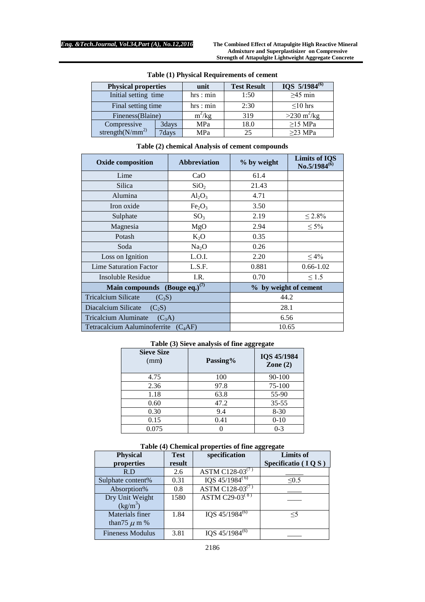| <b>Physical properties</b> |       | unit     | <b>Test Result</b> | IQS $5/1984^{(6)}$           |
|----------------------------|-------|----------|--------------------|------------------------------|
| Initial setting time       |       | hrs: min | 1:50               | $\geq$ 45 min                |
| Final setting time         |       | hrs: min | 2:30               | $\leq 10$ hrs                |
| Fineness(Blaine)           |       | $m^2/kg$ | 319                | $>230 \text{ m}^2/\text{kg}$ |
| Compressive                | 3days | MPa      | 18.0               | $\geq$ 15 MPa                |
| strength $(N/mm^2)$        | 7days | MPa      | 25                 | $\geq$ 23 MPa                |

# **Table (1) Physical Requirements of cement**

| <b>Oxide composition</b>                | <b>Abbreviation</b>            | % by weight           | <b>Limits of IQS</b><br>$No.5/1984^{(6)}$ |  |
|-----------------------------------------|--------------------------------|-----------------------|-------------------------------------------|--|
| Lime                                    | CaO                            | 61.4                  |                                           |  |
| Silica                                  | SiO <sub>2</sub>               | 21.43                 |                                           |  |
| Alumina                                 | $Al_2O_3$                      | 4.71                  |                                           |  |
| Iron oxide                              | Fe <sub>2</sub> O <sub>3</sub> | 3.50                  |                                           |  |
| Sulphate                                | SO <sub>3</sub>                | 2.19                  | $\leq 2.8\%$                              |  |
| Magnesia                                | MgO                            | 2.94                  | $\leq 5\%$                                |  |
| Potash                                  | $K_2O$                         | 0.35                  |                                           |  |
| Soda                                    | Na <sub>2</sub> O              | 0.26                  |                                           |  |
| Loss on Ignition                        | L.O.I.                         | 2.20                  | $\leq 4\%$                                |  |
| Lime Saturation Factor                  | L.S.F.                         | 0.881                 | $0.66 - 1.02$                             |  |
| Insoluble Residue                       | I.R.                           | 0.70                  | $\leq 1.5$                                |  |
| Main compounds (Bouge eq.) $^{(7)}$     |                                | % by weight of cement |                                           |  |
| <b>Tricalcium Silicate</b><br>$(C_3S)$  | 44.2                           |                       |                                           |  |
| Diacalcium Silicate<br>$(C_2S)$         | 28.1                           |                       |                                           |  |
| <b>Tricalcium Aluminate</b><br>$(C_3A)$ | 6.56                           |                       |                                           |  |
| Tetracalcium Aaluminoferrite            | $(C_4AF)$                      | 10.65                 |                                           |  |

# **Table (3) Sieve analysis of fine aggregate**

| <b>Sieve Size</b><br>(mm) | Passing% | <b>IQS 45/1984</b><br>Zone $(2)$ |
|---------------------------|----------|----------------------------------|
| 4.75                      | 100      | 90-100                           |
| 2.36                      | 97.8     | 75-100                           |
| 1.18                      | 63.8     | 55-90                            |
| 0.60                      | 47.2     | $35 - 55$                        |
| 0.30                      | 9.4      | $8 - 30$                         |
| 0.15                      | 0.41     | $0-10$                           |
| 0.075                     |          | $0 - 3$                          |

#### **Table (4) Chemical properties of fine aggregate**

| oo o                    |             |                      |                      |  |  |  |
|-------------------------|-------------|----------------------|----------------------|--|--|--|
| <b>Physical</b>         | <b>Test</b> | specification        | <b>Limits of</b>     |  |  |  |
| properties              | result      |                      | Specificatio $(IQS)$ |  |  |  |
| R.D                     | 2.6         | ASTM $C128-03^{(7)}$ |                      |  |  |  |
| Sulphate content%       | 0.31        | IQS $45/1984^{(6)}$  | $\leq 0.5$           |  |  |  |
| Absorption%             | 0.8         | $ASTM C128-03^{(7)}$ |                      |  |  |  |
| Dry Unit Weight         | 1580        | ASTM $C29-03^{(8)}$  |                      |  |  |  |
| $(kg/m^3)$              |             |                      |                      |  |  |  |
| Materials finer         | 1.84        | IQS $45/1984^{(6)}$  | $<$ 5                |  |  |  |
| than 75 $\mu$ m %       |             |                      |                      |  |  |  |
| <b>Fineness Modulus</b> | 3.81        | IQS $45/1984^{(6)}$  |                      |  |  |  |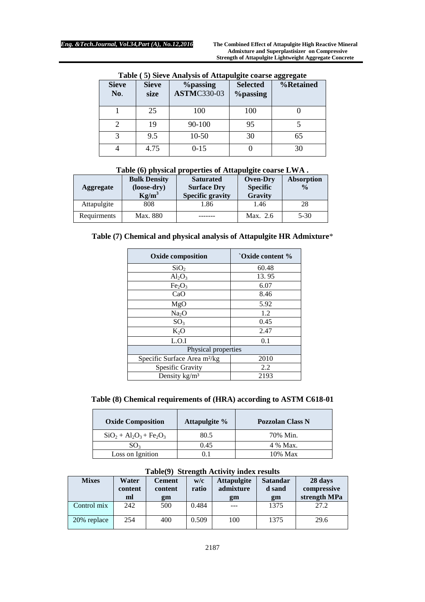| <b>Sieve</b><br>No. | <b>Sieve</b><br>size | <i><b>Yopassing</b></i><br><b>ASTMC330-03</b> | <b>Selected</b><br><b>%</b> passing | ັ<br>%Retained |
|---------------------|----------------------|-----------------------------------------------|-------------------------------------|----------------|
|                     | 25                   | 100                                           | 100                                 |                |
|                     | 19                   | 90-100                                        | 95                                  |                |
| 3                   | 9.5                  | $10-50$                                       | 30                                  | 65             |
|                     | 4.75                 | $0 - 15$                                      |                                     | 30             |

**Table ( 5) Sieve Analysis of Attapulgite coarse aggregate** 

|  |                     |           | Table (6) physical properties of Attapulgite coarse LWA. |           |
|--|---------------------|-----------|----------------------------------------------------------|-----------|
|  | <b>Rull</b> Dansity | Soturoted | $\Omega$ van Drv                                         | A heornti |

| <b>Aggregate</b> | <b>Bulk Density</b><br>(loose-dry)<br>$Kg/m^3$ | <b>Saturated</b><br><b>Surface Dry</b><br><b>Specific gravity</b> | <b>Oven-Dry</b><br><b>Specific</b><br>Gravity | Absorption<br>$\frac{0}{0}$ |
|------------------|------------------------------------------------|-------------------------------------------------------------------|-----------------------------------------------|-----------------------------|
| Attapulgite      | 808                                            | 1.86                                                              | 1.46                                          | 28                          |
| Requirments      | Max. 880                                       |                                                                   | Max. 2.6                                      | $5 - 30$                    |

|  |  | Table (7) Chemical and physical analysis of Attapulgite HR Admixture* |
|--|--|-----------------------------------------------------------------------|
|  |  |                                                                       |

| <b>Oxide composition</b>                 | `Oxide content % |  |  |
|------------------------------------------|------------------|--|--|
| SiO <sub>2</sub>                         | 60.48            |  |  |
| $Al_2O_3$                                | 13.95            |  |  |
| Fe <sub>2</sub> O <sub>3</sub>           | 6.07             |  |  |
| CaO                                      | 8.46             |  |  |
| MgO                                      | 5.92             |  |  |
| Na <sub>2</sub> O                        | 1.2              |  |  |
| SO <sub>3</sub>                          | 0.45             |  |  |
| $K_2O$                                   | 2.47             |  |  |
| L.O.I                                    | 0.1              |  |  |
| Physical properties                      |                  |  |  |
| Specific Surface Area m <sup>2</sup> /kg | 2010             |  |  |
| <b>Spesific Gravity</b>                  | 2.2              |  |  |
| Density kg/m <sup>3</sup>                | 2193             |  |  |

# **Table (8) Chemical requirements of (HRA) according to ASTM C618-01**

| <b>Oxide Composition</b>    | Attapulgite % | <b>Pozzolan Class N</b> |
|-----------------------------|---------------|-------------------------|
| $SiO_2 + Al_2O_3 + Fe_2O_3$ | 80.5          | 70% Min.                |
| SO <sub>3</sub>             | 0.45          | 4 % Max.                |
| Loss on Ignition            |               | 10% Max                 |

| $OVI$ can can be convert $V$<br>$\sim$ |                        |                                |              |                                       |                                 |                                        |
|----------------------------------------|------------------------|--------------------------------|--------------|---------------------------------------|---------------------------------|----------------------------------------|
| <b>Mixes</b>                           | Water<br>content<br>ml | <b>Cement</b><br>content<br>gm | w/c<br>ratio | <b>Attapulgite</b><br>admixture<br>gm | <b>Satandar</b><br>d sand<br>gm | 28 days<br>compressive<br>strength MPa |
| Control mix                            | 242                    | 500                            | 0.484        | $- - -$                               | 1375                            | 27.2                                   |
| 20% replace                            | 254                    | 400                            | 0.509        | 100                                   | 1375                            | 29.6                                   |

### **Table(9) Strength Activity index results**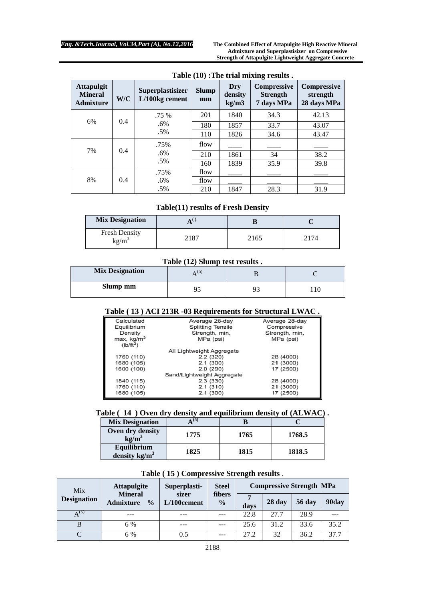| <b>Attapulgit</b><br><b>Mineral</b><br><b>Admixture</b> | W/C | Superplastisizer<br>L/100kg cement | <b>Slump</b><br>mm | <b>Dry</b><br>density<br>kg/m3 | o<br><b>Compressive</b><br><b>Strength</b><br>7 days MPa | Compressive<br>strength<br>28 days MPa |
|---------------------------------------------------------|-----|------------------------------------|--------------------|--------------------------------|----------------------------------------------------------|----------------------------------------|
|                                                         |     | .75 %                              | 201                | 1840                           | 34.3                                                     | 42.13                                  |
| 6%                                                      | 0.4 | .6%                                | 180                | 1857                           | 33.7                                                     | 43.07                                  |
|                                                         |     | .5%                                | 110                | 1826                           | 34.6                                                     | 43.47                                  |
|                                                         |     | .75%                               | flow               |                                |                                                          |                                        |
| 7%                                                      | 0.4 | .6%                                | 1861<br>210        | 34                             | 38.2                                                     |                                        |
|                                                         |     | $.5\%$                             | 160                | 1839                           | 35.9                                                     | 39.8                                   |
|                                                         |     | .75%                               | flow               |                                |                                                          |                                        |
| 8%                                                      | 0.4 | .6%                                | flow               |                                |                                                          |                                        |
|                                                         |     | .5%                                | 210                | 1847                           | 28.3                                                     | 31.9                                   |

# **Table (10) :The trial mixing results .**

**Table(11) results of Fresh Density**

| <b>Mix Designation</b>       |      |      |     |
|------------------------------|------|------|-----|
| <b>Fresh Density</b><br>kg/m | 2187 | 2165 | 174 |

# **Table (12) Slump test results .**

| <b>Mix Designation</b> |   |  |  |
|------------------------|---|--|--|
| Slump mm               | u |  |  |

# **Table ( 13 ) ACI 213R -03 Requirements for Structural LWAC .**

| Calculated   | Average 28-day             | Average 28-day |
|--------------|----------------------------|----------------|
| Equilibrium  | <b>Splitting Tensile</b>   | Compressive    |
| Density      | Strength, min,             | Strength, min, |
| max, $kg/m3$ | MPa (psi)                  | MPa (psi)      |
| $(lb/ft^3)$  |                            |                |
|              | All Lightweight Aggregate  |                |
| 1760 (110)   | 2.2(320)                   | 28 (4000)      |
| 1680 (105)   | 2.1(300)                   | 21 (3000)      |
| 1600 (100)   | 2.0(290)                   | 17 (2500)      |
|              | Sand/Lightweight Aggregate |                |
| 1840 (115)   | 2.3(330)                   | 28 (4000)      |
| 1760 (110)   | 2.1(310)                   | 21 (3000)      |
| 1680 (105)   | 2.1(300)                   | 17 (2500)      |

# **Table ( 14 ) Oven dry density and equilibrium density of (ALWAC) .**

| <b>Mix Designation</b>                | (5)  |      |        |
|---------------------------------------|------|------|--------|
| Oven dry density<br>kg/m <sup>3</sup> | 1775 | 1765 | 1768.5 |
| Equilibrium<br>density $kg/m3$        | 1825 | 1815 | 1818.5 |

| Mix<br><b>Designation</b> | <b>Attapulgite</b>                                  | Superplasti-            | <b>Steel</b>            | <b>Compressive Strength MPa</b> |        |               |       |
|---------------------------|-----------------------------------------------------|-------------------------|-------------------------|---------------------------------|--------|---------------|-------|
|                           | <b>Mineral</b><br><b>Admixture</b><br>$\frac{0}{0}$ | sizer<br>$L/100$ cement | fibers<br>$\frac{6}{9}$ | days                            | 28 day | <b>56 day</b> | 90day |
| $\Delta^{(5)}$            |                                                     | ---                     |                         | 22.8                            | 27.7   | 28.9          |       |
| B                         | 6 %                                                 | ---                     |                         | 25.6                            | 31.2   | 33.6          | 35.2  |
|                           | 6 %                                                 | 0.5                     | $- - -$                 | 27.2                            | 32     | 36.2          | 37.7  |

#### **Table ( 15 ) Compressive Strength results** .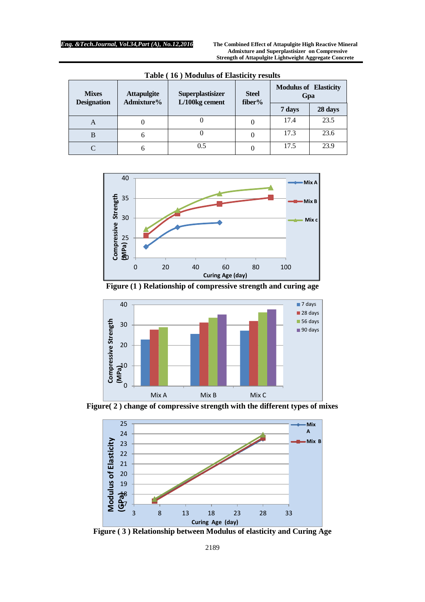| <b>Mixes</b><br><b>Designation</b> | <b>Attapulgite</b><br>Admixture% | <b>Superplastisizer</b><br>L/100kg cement | <b>Steel</b><br>fiber% | <b>Modulus of Elasticity</b><br>Gpa |         |  |
|------------------------------------|----------------------------------|-------------------------------------------|------------------------|-------------------------------------|---------|--|
|                                    |                                  |                                           |                        | 7 days                              | 28 days |  |
| А                                  |                                  |                                           |                        | 17.4                                | 23.5    |  |
| B                                  | n                                |                                           |                        | 17.3                                | 23.6    |  |
|                                    | n                                | 0.5                                       |                        | 17.5                                | 23.9    |  |

**Table ( 16 ) Modulus of Elasticity results**



**Figure (1 ) Relationship of compressive strength and curing age**



**Figure( 2 ) change of compressive strength with the different types of mixes**



**Figure ( 3 ) Relationship between Modulus of elasticity and Curing Age**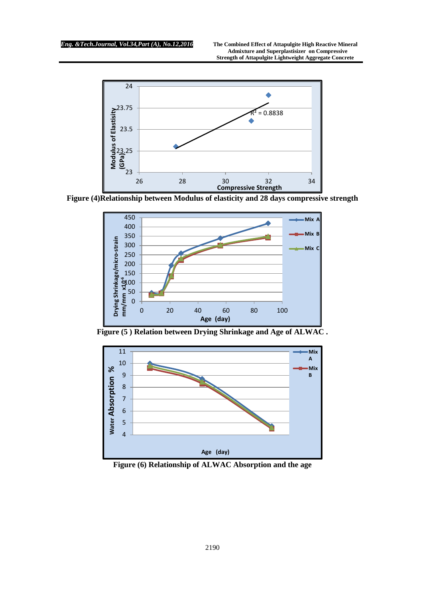

**Figure (4)Relationship between Modulus of elasticity and 28 days compressive strength**



**Figure (5 ) Relation between Drying Shrinkage and Age of ALWAC .**



**Figure (6) Relationship of ALWAC Absorption and the age**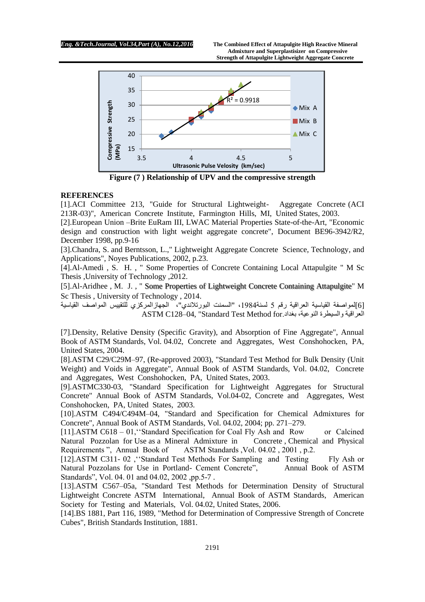

**Figure (7 ) Relationship of UPV and the compressive strength**

### **REFERENCES**

[1].ACI Committee 213, "Guide for Structural Lightweight- Aggregate Concrete (ACI 213R-03)", American Concrete Institute, Farmington Hills, MI, United States, 2003.

[2].European Union –Brite EuRam III, LWAC Material Properties State-of-the-Art, "Economic design and construction with light weight aggregate concrete", Document BE96-3942/R2, December 1998, pp.9-16

[3].Chandra, S. and Berntsson, L.," Lightweight Aggregate Concrete Science, Technology, and Applications", Noyes Publications, 2002, p.23.

[4].Al-Amedi , S. H. , " Some Properties of Concrete Containing Local Attapulgite " M Sc Thesis ,University of Technology ,2012.

[5].Al-Aridhee , M. J. , " Some Properties of Lightweight Concrete Containing Attapulgite" M Sc Thesis , University of Technology , 2014.

[6]لمواصفة القياسية العراقية رقم 5 لسنة،4891 "السمنت البورتالندي"، الجهازالمركزي للتقييس المواصف القياسية ASTM C128–04, "Standard Test Method for.بغداد ،النوعية والسيطرة العراقية

[7].Density, Relative Density (Specific Gravity), and Absorption of Fine Aggregate", Annual Book of ASTM Standards, Vol. 04.02, Concrete and Aggregates, West Conshohocken, PA, United States, 2004.

[8].ASTM C29/C29M–97, (Re-approved 2003), "Standard Test Method for Bulk Density (Unit Weight) and Voids in Aggregate", Annual Book of ASTM Standards, Vol. 04.02, Concrete and Aggregates, West Conshohocken, PA, United States, 2003.

[9].ASTMC330-03, "Standard Specification for Lightweight Aggregates for Structural Concrete" Annual Book of ASTM Standards, Vol.04-02, Concrete and Aggregates, West Conshohocken, PA, United States, 2003.

[10].ASTM C494/C494M–04, "Standard and Specification for Chemical Admixtures for Concrete", Annual Book of ASTM Standards, Vol. 04.02, 2004; pp. 271–279.

[11].ASTM C618 – 01,ʻʻStandard Specification for Coal Fly Ash and Row or Calcined Natural Pozzolan for Use as a Mineral Admixture in Concrete , Chemical and Physical Requirements ", Annual Book of ASTM Standards , Vol. 04.02, 2001, p.2.

[12].ASTM C311- 02 ,ʻʻStandard Test Methods For Sampling and Testing Fly Ash or Natural Pozzolans for Use in Portland- Cement Concrete", Annual Book of ASTM Standards", Vol. 04, 01 and 04.02, 2002, pp.5-7.

[13].ASTM C567–05a, "Standard Test Methods for Determination Density of Structural Lightweight Concrete ASTM International, Annual Book of ASTM Standards, American Society for Testing and Materials, Vol. 04.02, United States, 2006.

[14].BS 1881, Part 116, 1989, "Method for Determination of Compressive Strength of Concrete Cubes", British Standards Institution, 1881.